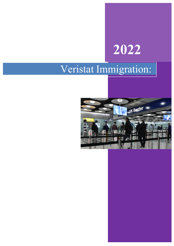# **2022**

## Veristat Immigration:

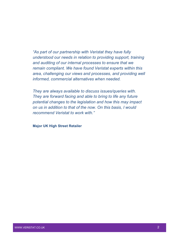*"As part of our partnership with Veristat they have fully understood our needs in relation to providing support, training and auditing of our internal processes to ensure that we remain compliant. We have found Veristat experts within this area, challenging our views and processes, and providing well informed, commercial alternatives when needed.*

*They are always available to discuss issues/queries with. They are forward facing and able to bring to life any future potential changes to the legislation and how this may impact on us in addition to that of the now. On this basis, I would recommend Veristat to work with."*

**Major UK High Street Retailer**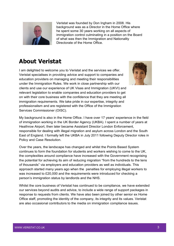

Veristat was founded by Don Ingham in 2008. His background was as a Director in the Home Office where he spent some 30 years working on all aspects of immigration control culminating in a position on the Board of what was then the Immigration and Nationality Directorate of the Home Office.

### **About Veristat**

I am delighted to welcome you to Veristat and the services we offer. Veristat specialises in providing advice and support to companies and education providers on managing and meeting their responsibilities under the Immigration Rules. We work in close partnership with our clients and use our experience of UK Visas and Immigration (UKVI) and relevant legislation to enable companies and education providers to get on with their core business with the confidence that they are meeting all immigration requirements. We take pride in our expertise, integrity and professionalism and are registered with the Office of the Immigration Services Commissioner (OISC).



My background is also in the Home Office. I have over 17 years' experience in the field of immigration working in the UK Border Agency (UKBA). I spent a number of years at Heathrow Airport, then later became Assistant Director London Enforcement, responsible for dealing with illegal migration and asylum across London and the South East of England. I formally left the UKBA in July 2011 following Deputy Director roles in Policy and Case Resolution.

Over the years, the landscape has changed and whilst the Points Based System continues to form the foundation for students and workers wishing to come to the UK, the complexities around compliance have increased with the Government recognising the potential for achieving its aim of reducing migration "from the hundreds to the tens of thousands" via employers and education providers as well as individuals. This approach started many years ago when the penalties for employing illegal workers to was increased to £20,000 and the requirements were introduced for checking a person's immigration status by landlords and the NHS.

Whilst the core business of Veristat has continued to be compliance, we have extended our services beyond audits and advice, to include a wide range of support packages in response to requests from clients. We have also been joined by other senior ex Home Office staff, promoting the identity of the company, its integrity and its values. Veristat are also occasional contributors to the media on immigration compliance issues.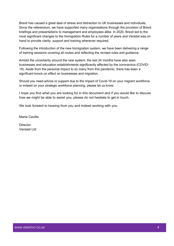Brexit has caused a great deal of stress and distraction to UK businesses and individuals. Since the referendum, we have supported many organisations through the provision of Brexit briefings and presentations to management and employees alike. In 2020, Brexit led to the most significant changes to the Immigration Rules for a number of years and Veristat was on hand to provide clarity, support and training whenever required.

Following the introduction of the new Immigration system, we have been delivering a range of training sessions covering all routes and reflecting the revised rules and guidance.

Amidst the uncertainty around the new system, the last 24 months have also seen businesses and education establishments significantly affected by the coronavirus (COVID-19). Aside from the personal impact to so many from this pandemic, there has been a significant knock on effect on businesses and migration.

Should you need advice or support due to the impact of Covid-19 on your migrant workforce or indeed on your strategic workforce planning, please let us know.

I hope you find what you are looking for in this document and if you would like to discuss how we might be able to assist you, please do not hesitate to get in touch.

We look forward to hearing from you and indeed working with you.

Maria Cavilla

**Director** Veristat Ltd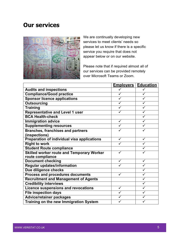#### **Our services**



We are continually developing new services to meet clients' needs so please let us know if there is a specific service you require that does not appear below or on our website.

Please note that if required almost all of our services can be provided remotely over Microsoft Teams or Zoom.

|                                                  | <u>Emplovers</u> | <b>Education</b> |
|--------------------------------------------------|------------------|------------------|
| <b>Audits and inspections</b>                    |                  |                  |
| <b>Compliance/Good practice</b>                  |                  |                  |
| <b>Sponsor licence applications</b>              |                  |                  |
| <b>Outsourcing</b>                               |                  |                  |
| <b>Training</b>                                  |                  |                  |
| <b>Representative and Level 1 user</b>           |                  |                  |
| <b>BCA Health-check</b>                          |                  |                  |
| <b>Immigration advice</b>                        |                  |                  |
| <b>Supplementing resources</b>                   |                  |                  |
| <b>Branches, franchises and partners</b>         |                  |                  |
| (inspections)                                    |                  |                  |
| Preparation of individual visa applications      | ✓                | ✓                |
| <b>Right to work</b>                             |                  |                  |
| <b>Student Route compliance</b>                  |                  |                  |
| <b>Skilled worker route and Temporary Worker</b> |                  |                  |
| route compliance                                 |                  |                  |
| <b>Document checking</b>                         |                  | ✓                |
| <b>Regular updates/information</b>               |                  |                  |
| Due diligence checks                             |                  |                  |
| <b>Process and procedures documents</b>          | ✓                |                  |
| <b>Recruitment and Management of Agents</b>      |                  |                  |
| <b>Credibility interviews</b>                    |                  |                  |
| <b>Licence suspensions and revocations</b>       |                  |                  |
| <b>File inspection days</b>                      |                  | ✓                |
| Advice/retainer packages                         |                  |                  |
| Training on the new Immigration System           |                  |                  |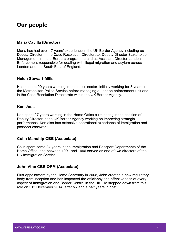#### **Our people**

#### **Maria Cavilla (Director)**

Maria has had over 17 years' experience in the UK Border Agency including as Deputy Director in the Case Resolution Directorate, Deputy Director Stakeholder Management in the e-Borders programme and as Assistant Director London Enforcement responsible for dealing with illegal migration and asylum across London and the South East of England.

#### **Helen Stewart-Mills**

Helen spent 20 years working in the public sector, initially working for 8 years in the Metropolitan Police Service before managing a London enforcement unit and in the Case Resolution Directorate within the UK Border Agency.

#### **Ken Joss**

Ken spent 27 years working in the Home Office culminating in the position of Deputy Director in the UK Border Agency working on improving strategic performance. Ken also has extensive operational experience of immigration and passport casework.

#### **Colin Manchip CBE (Associate)**

Colin spent some 34 years in the Immigration and Passport Departments of the Home Office, and between 1991 and 1996 served as one of two directors of the UK Immigration Service.

#### **John Vine CBE QPM (Associate)**

First appointment by the Home Secretary in 2008, John created a new regulatory body from inception and has inspected the efficiency and effectiveness of every aspect of Immigration and Border Control in the UK. He stepped down from this role on 31st December 2014, after six and a half years in post.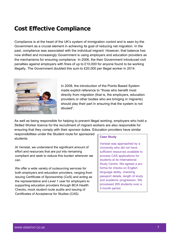### **Cost Effective Compliance**

Compliance is at the heart of the UK's system of immigration control and is seen by the Government as a crucial element in achieving its goal of reducing net migration. In the past, compliance was associated with the individual migrant. However, that balance has now shifted and increasingly Government is using employers and education providers as the mechanisms for ensuring compliance. In 2006, the then Government introduced civil penalties against employers with fines of up to £10,000 for anyone found to be working illegally. The Government doubled this sum to £20,000 per illegal worker in 2014.



In 2008, the introduction of the Points Based System made explicit reference to "those who benefit most directly from migration (that is, the employers, education providers or other bodies who are bringing in migrants) should play their part in ensuring that the system is not abused".

As well as being responsible for helping to prevent illegal working, employers who hold a Skilled Worker licence for the recruitment of migrant workers are also responsible for ensuring that they comply with their sponsor duties. Education providers have similar

responsibilities under the Student route for sponsored students.

At Veristat, we understand the significant amount of effort and resources that are put into remaining compliant and seek to reduce this burden wherever we can.

We offer a wide variety of outsourcing services for both employers and education providers, ranging from issuing Certificate of Sponsorship (CoS) and acting as the representative and Level 1 user for employers to supporting education providers through BCA Health Checks, mock student route audits and issuing of Certificates of Acceptance for Studies (CAS).

#### **Case Study**

Veristat was approached by a University who did not have sufficient resources available to process CAS applications for students at its International Study Centre. We agreed a pro forma for checks on English language ability, checking passport details, length of study and academic progression. We processed 265 students over a 2-month period.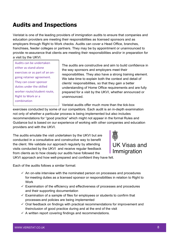### **Audits and Inspections**

Veristat is one of the leading providers of immigration audits to ensure that companies and education providers are meeting their responsibilities as licensed sponsors and as employers through Right to Work checks. Audits can cover a Head Office, branches, franchises, feeder colleges or partners. They may be by appointment or unannounced to provide re-assurance that clients are meeting their responsibilities and/or in preparation for a visit by the UKVI.

Audits can be undertaken either as stand-alone exercises or as part of an ongoing retainer agreement. They can cover sponsor duties under the skilled worker route/student route, Right to Work or a combination

The audits are constructive and aim to build confidence in the way sponsors and employers meet their responsibilities. They also have a strong training element. We take time to explain both the context and detail of clients' responsibilities, so that they gain a better understanding of Home Office requirements and are fully prepared for a visit by the UKVI, whether announced or unannounced.

Veristat audits offer much more than the tick-box

exercises conducted by some of our competitors. Each audit is an in-depth examination not only of whether a particular process is being implemented but also includes recommendations for "good practice" which might not appear in the formal Rules and Guidance but is based on our experience of working with other companies and education providers and with the UKVI.

The audits emulate the visit undertaken by the UKVI but are conducted in a consultative and constructive way to benefit the client. We validate our approach regularly by attending visits conducted by the UKVI and receive regular feedback from clients as to how closely our audits have followed the



**UK Visas and** Immigration

UKVI approach and how well-prepared and confident they have felt.

Each of the audits follows a similar format:

- $\checkmark$  An on-site interview with the nominated person on processes and procedures for meeting duties as a licensed sponsor or responsibilities in relation to Right to **Work**
- $\checkmark$  Examination of the efficiency and effectiveness of processes and procedures and their supporting documentation
- $\checkmark$  Examination of a sample of files for employees or students to confirm that processes and policies are being implemented
- $\checkmark$  Oral feedback on findings with practical recommendations for improvement and theinclusion of good practice during and at the end of the visit
- $\checkmark$  A written report covering findings and recommendations.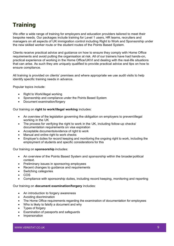### **Training**

We offer a wide range of training for employers and education providers tailored to meet their bespoke needs. Our packages include training for Level 1 users, HR teams, recruiters and managers on all aspects of UK immigration control including Right to Work and Sponsorship under the new skilled worker route or the student routes of the Points Based System.

Clients receive practical advice and guidance on how to ensure they comply with Home Office requirements and avoid putting the organisation at risk. All of our trainers have had hands-on, practical experience of working in the Home Office/UKVI and dealing with the real-life situations that can arise. As such they are uniquely qualified to provide practical advice and tips on how to ensure compliance.

All training is provided on clients' premises and where appropriate we use audit visits to help identify specific training needs in advance.

Popular topics include:

- Right to Work/illegal working
- Sponsorship and compliance under the Points Based System
- Document examination/forgery

Our training on **right to work/illegal working** includes:

- An overview of the legislation governing the obligation on employers to preventillegal working in the UK
- The process for verifying the right to work in the UK, including follow-up checks/ documentation requirements on visa expiration
- Acceptable documents/evidence of right to work
- Manual and online right to work checks
- Employer's duties for record keeping and monitoring the ongoing right to work, including the employment of students and specific considerations for this

Our training on **sponsorship** includes:

- An overview of the Points Based System and sponsorship within the broader political context.
- Preliminary issues in sponsoring employees
- Recent changes to guidance and requirements
- Switching categories
- COS
- Compliance with sponsorship duties, including record keeping, monitoring and reporting

#### Our training on **document examination/forgery** includes:

- An introduction to forgery awareness
- Avoiding discrimination
- The Home Office requirements regarding the examination of documentation for employees
- Who is likely to falsify a document and why
- Types of forgery
- Examination of passports and safeguards
- **Impersonation**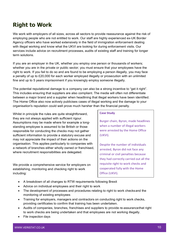### **Right to Work**

We work with employers of all sizes, across all sectors to provide reassurance against the risk of employing people who are not entitled to work. Our staff are highly experienced ex-UK Border Agency officers who have worked extensively in the field of immigration enforcement dealing with illegal working and know what the UKVI are looking for during enforcement visits. Our services include advice on recruitment processes, audits of existing staff and training for longer term solutions.

If you are an employer in the UK, whether you employ one person or thousands of workers; whether you are in the private or public sector; you must ensure that your employees have the right to work. If you fail to do so and are found to be employing a person illegally, you may face a penalty of up to £20,000 for each worker employed illegally or prosecution with an unlimited fine and up to 5 years imprisonment if you knowingly employ someone illegally.

The potential reputational damage to a company can also be a strong incentive to "get it right". This includes ensuring that suppliers are also compliant. The media will often not differentiate between a major brand and a supplier when headlining that illegal workers have been identified. The Home Office also now actively publicises cases of illegal working and the damage to your organisation's reputation could well prove much harsher than the financial penalty.

Whilst in principle the rules are quite straightforward, they are not always applied with sufficient rigour. Assumptions may be made where for example a longstanding employee is assumed to be British or those responsible for conducting the checks may not gather sufficient information to provide a statutory excuse and may not appreciate the impact of their actions on the organisation. This applies particularly to companies with a network of branches either wholly owned or franchised, where recruitment responsibilities are delegated.

We provide a comprehensive service for employers on establishing, monitoring and checking right to work including:

#### **Case Study**

Burger chain, Byron, made headlines when a number of illegal workers were arrested by the Home Office (UKVI).

Despite the number of individuals arrested, Byron did not face any criminal or civil penalties because they had correctly carried out all the requisite right to work checks and cooperated fully with the Home Office (UKVI).

- A breakdown of all changes to RTW requirements following Brexit
- Advice on individual employees and their right to work
- The development of processes and procedures relating to right to work checks and the monitoring of existing employees
- Training for employers, managers and contractors on conducting right to work checks, providing certificates to confirm that training has been undertaken.
- Audits of companies, branches, franchises and suppliers to provide re-assurancethat right to work checks are being undertaken and that employees are not working illegally.
- File inspection days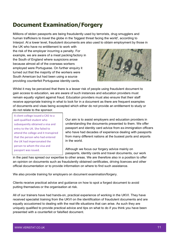### **Document Examination/Forgery**

Millions of stolen passports are being fraudulently used by terrorists, drug smugglers and human traffickers to travel the globe in the 'biggest threat facing the world', according to Interpol. At a lower level, fraudulent documents are also used to obtain employment by those in

the UK who have no entitlement to work with the risk of the employer incurring a penalty. For example, we are aware of a meat packing factory in the South of England where suspicions arose because almost all of the overseas workers employed were Portuguese. On further enquiry it turned out that the majority of the workers were South American but had been using a source providing counterfeit Portuguese identity cards.



Whilst it may be perceived that there is a lesser risk of people using fraudulent document to gain access to education, we are aware of such instances and education providers must remain equally vigilant against fraud. Education providers must also ensure that their staff receive appropriate training in what to look for in a document as there are frequent examples of documents and visas being accepted which either do not provide an entitlement to study or do not relate to the sponsor.

A client college issued a CAS to a well-qualified student who subsequently obtained a visa and entry to the UK. She failed to attend the college and it transpired that the person who had entered the UK had impersonated the person to whom the visa and passport was issued.

Our aim is to assist employers and education providers in understanding the documents presented to them. We offer passport and identity card advice from ex-immigration officers who have had decades of experience dealing with passports from many different nations at the busiest ports and airports in the world.

Although we focus our forgery advice mainly on passports, identity cards and travel documents, our work

in the past has spread our expertise to other areas. We are therefore also in a position to offer an opinion on documents such as fraudulently obtained certificates, driving licences and other official documentation or to provide information on where to find such assistance.

We also provide training for employers on document examination/forgery.

Clients receive practical advice and guidance on how to spot a forged document to avoid putting themselves or the organisation at risk.

All of our trainers have had hands-on, practical experience of working in the UKVI. They have received specialist training from the UKVI on the identification of fraudulent documents and are equally accustomed to dealing with the real-life situations that can arise. As such they are uniquely qualified to provide practical advice and tips on what to do if you think you have been presented with a counterfeit or falsified document.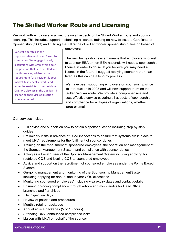### **The Skilled Worker Route and Licensing**

We work with employers in all sectors on all aspects of the Skilled Worker route and sponsor licensing. This includes support in obtaining a licence, training on how to issue a Certificate of Sponsorship (COS) and fulfilling the full range of skilled worker sponsorship duties on behalf of

Veristat operates as the representative and Level 1 user for companies. We engage in early discussions with employers about the position that is to be filled and the timescales; advise on the requirement for a resident labour market test; check adverts and issue the restricted or unrestricted COS. We also assist the applicant in preparing their visa application where required.

employers.

The new Immigration system means that employers who wish to sponsor EEA or non-EEA nationals will need a sponsorship licence in order to do so. If you believe you may need a licence in the future, I suggest applying sooner rather than later, as this can be a lengthy process.

We have been supporting employers on sponsorship since its introduction in 2008 and will now support them on the Skilled Worker route. We provide a comprehensive and cost-effective service covering all aspects of sponsorship and compliance for all types of organisations, whether large or small.

Our services include:

- Full advice and support on how to obtain a sponsor licence including step by step guides
- Preliminary visits in advance of UKVI inspections to ensure that systems are in place to meet UKVI requirements for the fulfilment of sponsor duties
- Training on the recruitment of sponsored employees, the operation andmanagement of the Sponsor Management System and compliance with sponsor duties.
- Acting as a Level 1 user of the Sponsor Management System including applying for restricted COS and issuing COS to sponsored employees.
- Advice and support on the recruitment of sponsored employees under the Points Based System
- On-going management and monitoring of the Sponsorship ManagementSystem including applying for annual and in-year COS allocations.
- Monitoring sponsored employees' including visa expiry dates and contact details
- Ensuring on-going compliance through advice and mock audits for HeadOffice, branches and franchises
- File inspection days
- Review of policies and procedures
- Monthly retainer packages
- Annual advice packages (5 or 10 hours)
- Attending UKVI announced compliance visits
- Liaison with UKVI on behalf of the sponsor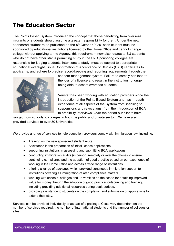### **The Education Sector**

The Points Based System introduced the concept that those benefitting from overseas migrants or students should assume a greater responsibility for them. Under the new sponsored student route published on the 5<sup>th</sup> October 2020, each student must be sponsored by educational institutions licensed by the Home Office and cannot change college without applying to the Agency, this requirement now also relates to EU students who do not have other status permitting study in the Uk. Sponsoring colleges are responsible for judging students' intentions to study; must be subject to appropriate educational oversight; issue Confirmation of Acceptance of Studies (CAS) certificates to applicants; and adhere to precise record-keeping and reporting requirements through the



sponsor management system. Failure to comply can lead to the loss of a licence and result in the institution no longer being able to accept overseas students.

Veristat has been working with education providers since the introduction of the Points Based System and has in-depth experience of all aspects of the System from licensing to suspensions and revocations; from the introduction of BCA to credibility interviews. Over the period our clients have

ranged from schools to colleges in both the public and private sector. We have also provided services to over 30 Universities.

We provide a range of services to help education providers comply with immigration law, including:

- Training on the new sponsored student route
- Assistance in the preparation of initial licence applications.
- supporting institutions in assessing and submitting BCA applications.
- conducting immigration audits (in person, remotely or over the phone) to ensure continuing compliance and the adoption of good practice based on our experience of working in the Home Office and across a wide range of institutions.
- offering a range of packages which provided continuous immigration support to institutions covering all immigration-related compliance matters.
- working with schools, colleges and universities on the scope for obtaining improved value for money through the adoption of good practice, outsourcing and training, including providing additional resources during peak periods.
- providing assistance to students on the completion and submission of applications to extend their stay.

Services can be provided individually or as part of a package. Costs vary dependant on the number of services required, the number of international students and the number of colleges or sites.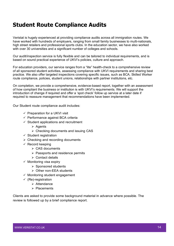### **Student Route Compliance Audits**

Veristat is hugely experienced at providing compliance audits across all immigration routes. We have worked with hundreds of employers, ranging from small family businesses to multi-nationals, high street retailers and professional sports clubs. In the education sector, we have also worked with over 30 universities and a significant number of colleges and schools.

Our audit/inspection service is fully flexible and can be tailored to individual requirements, and is based on sound practical experience of UKVI's policies, culture and approach.

For education providers, our service ranges from a "lite" health-check to a comprehensive review of all sponsored student activities, assessing compliance with UKVI requirements and sharing best practice. We also offer targeted inspections covering specific issues, such as BCA, Skilled Worker route compliance, policies, student unions, relationships with partner institutions, etc.

On completion, we provide a comprehensive, evidence-based report, together with an assessment of how compliant the business or institution is with UKVI's requirements. We will support the introduction of change if required and offer a 'spot check' follow up service at a later date if required to reassure management that recommendations have been implemented.

Our Student route compliance audit includes:

- $\checkmark$  Preparation for a UKVI visit
- $\checkmark$  Performance against BCA criteria
- $\checkmark$  Student applications and recruitment
	- $\triangleright$  Agents
	- $\triangleright$  Checking documents and issuing CAS
- $\checkmark$  Student registration
- $\triangleright$  Checking and recording documents
- $\checkmark$  Record keeping
	- $\triangleright$  CAS documents
	- $\triangleright$  Passports and residence permits
	- $\triangleright$  Contact details
- $\checkmark$  Monitoring visa expiry
	- $\triangleright$  Sponsored students
	- $\triangleright$  Other non-EEA students
- $\checkmark$  Monitoring student engagement
- $\checkmark$  (Re)-registration
	- $\triangleright$  Attendance
	- $\triangleright$  Placements

Clients are asked to provide some background material in advance where possible. The review is followed up by a brief compliance report.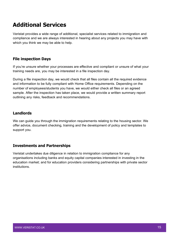### **Additional Services**

Veristat provides a wide range of additional, specialist services related to immigration and compliance and we are always interested in hearing about any projects you may have with which you think we may be able to help.

#### **File inspection Days**

If you're unsure whether your processes are effective and compliant or unsure of what your training needs are, you may be interested in a file inspection day.

During a file inspection day, we would check that all files contain all the required evidence and information to be fully compliant with Home Office requirements. Depending on the number of employees/students you have, we would either check all files or an agreed sample. After the inspection has taken place, we would provide a written summary report outlining any risks, feedback and recommendations.

#### **Landlords**

We can guide you through the immigration requirements relating to the housing sector. We offer advice, document checking, training and the development of policy and templates to support you.

#### **Investments and Partnerships**

Veristat undertakes due diligence in relation to immigration compliance for any organisations including banks and equity capital companies interested in investing in the education market; and for education providers considering partnerships with private sector institutions.